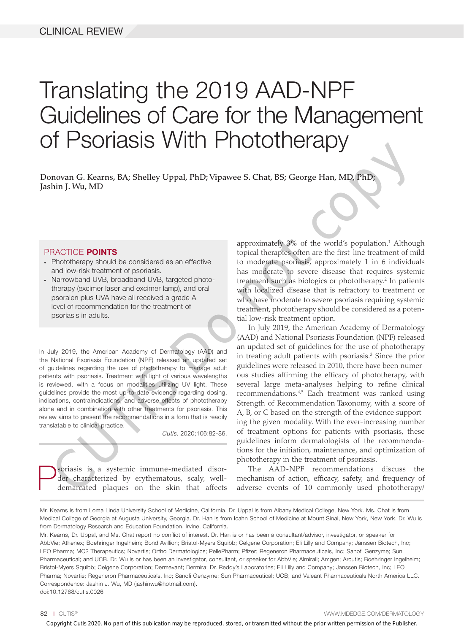# Translating the 2019 AAD-NPF Guidelines of Care for the Management of Psoriasis With Phototherapy

Donovan G. Kearns, BA; Shelley Uppal, PhD; Vipawee S. Chat, BS; George Han, MD, PhD; Jashin J. Wu, MD

#### PRACTICE POINTS

- Phototherapy should be considered as an effective and low-risk treatment of psoriasis.
- Narrowband UVB, broadband UVB, targeted phototherapy (excimer laser and excimer lamp), and oral psoralen plus UVA have all received a grade A level of recommendation for the treatment of psoriasis in adults.

In July 2019, the American Academy of Dermatology (AAD) and the National Psoriasis Foundation (NPF) released an updated set of guidelines regarding the use of phototherapy to manage adult patients with psoriasis. Treatment with light of various wavelengths is reviewed, with a focus on modalities utilizing UV light. These guidelines provide the most up-to-date evidence regarding dosing, indications, contraindications, and adverse effects of phototherapy alone and in combination with other treatments for psoriasis. This review aims to present the recommendations in a form that is readily translatable to clinical practice.

*Cutis.* 2020;106:82-86.

**P**soriasis is a systemic immune-mediated disor-<br>der characterized by erythematous, scaly, well-<br>demarcated plaques on the skin that affects der characterized by erythematous, scaly, welldemarcated plaques on the skin that affects

approximately 3% of the world's population.<sup>1</sup> Although topical therapies often are the first-line treatment of mild to moderate psoriasis, approximately 1 in 6 individuals has moderate to severe disease that requires systemic treatment such as biologics or phototherapy.<sup>2</sup> In patients with localized disease that is refractory to treatment or who have moderate to severe psoriasis requiring systemic treatment, phototherapy should be considered as a potential low-risk treatment option.

In July 2019, the American Academy of Dermatology (AAD) and National Psoriasis Foundation (NPF) released an updated set of guidelines for the use of phototherapy in treating adult patients with psoriasis.<sup>3</sup> Since the prior guidelines were released in 2010, there have been numerous studies affirming the efficacy of phototherapy, with several large meta-analyses helping to refine clinical recommendations.4,5 Each treatment was ranked using Strength of Recommendation Taxonomy, with a score of A, B, or C based on the strength of the evidence supporting the given modality. With the ever-increasing number of treatment options for patients with psoriasis, these guidelines inform dermatologists of the recommendations for the initiation, maintenance, and optimization of phototherapy in the treatment of psoriasis. Copyright Cutis 2020. No part of the this publication may be reproduced a proposition may be reproduced a series of the with specification may be reproduced with the prior written of this publication may be reproduced a s

The AAD-NPF recommendations discuss the mechanism of action, efficacy, safety, and frequency of adverse events of 10 commonly used phototherapy/

Mr. Kearns, Dr. Uppal, and Ms. Chat report no conflict of interest. Dr. Han is or has been a consultant/advisor, investigator, or speaker for AbbVie; Athenex; Boehringer Ingelheim; Bond Avillion; Bristol-Myers Squibb; Celgene Corporation; Eli Lilly and Company; Janssen Biotech, Inc; LEO Pharma; MC2 Therapeutics; Novartis; Ortho Dermatologics; PellePharm; Pfizer; Regeneron Pharmaceuticals, Inc; Sanofi Genzyme; Sun Pharmaceutical; and UCB. Dr. Wu is or has been an investigator, consultant, or speaker for AbbVie; Almirall; Amgen; Arcutis; Boehringer Ingelheim; Bristol-Myers Squibb; Celgene Corporation; Dermavant; Dermira; Dr. Reddy's Laboratories; Eli Lilly and Company; Janssen Biotech, Inc; LEO Pharma; Novartis; Regeneron Pharmaceuticals, Inc; Sanofi Genzyme; Sun Pharmaceutical; UCB; and Valeant Pharmaceuticals North America LLC. Correspondence: Jashin J. Wu, MD (jashinwu@hotmail.com). doi:10.12788/cutis.0026

82 I CUTIS® WWW.MDEDGE.COM/DERMATOLOGY

Mr. Kearns is from Loma Linda University School of Medicine, California. Dr. Uppal is from Albany Medical College, New York. Ms. Chat is from Medical College of Georgia at Augusta University, Georgia. Dr. Han is from Icahn School of Medicine at Mount Sinai, New York, New York. Dr. Wu is from Dermatology Research and Education Foundation, Irvine, California.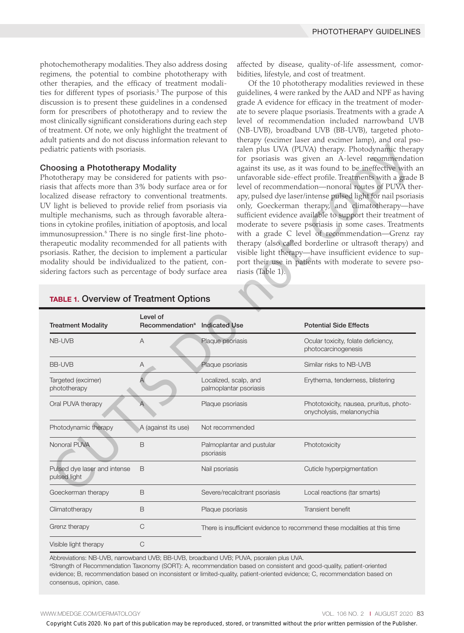photochemotherapy modalities. They also address dosing regimens, the potential to combine phototherapy with other therapies, and the efficacy of treatment modalities for different types of psoriasis.<sup>3</sup> The purpose of this discussion is to present these guidelines in a condensed form for prescribers of phototherapy and to review the most clinically significant considerations during each step of treatment. Of note, we only highlight the treatment of adult patients and do not discuss information relevant to pediatric patients with psoriasis.

#### Choosing a Phototherapy Modality

affected by disease, quality-of-life assessment, comorbidities, lifestyle, and cost of treatment.

Of the 10 phototherapy modalities reviewed in these guidelines, 4 were ranked by the AAD and NPF as having grade A evidence for efficacy in the treatment of moderate to severe plaque psoriasis. Treatments with a grade A level of recommendation included narrowband UVB (NB-UVB), broadband UVB (BB-UVB), targeted phototherapy (excimer laser and excimer lamp), and oral psoralen plus UVA (PUVA) therapy. Photodynamic therapy for psoriasis was given an A-level recommendation against its use, as it was found to be ineffective with an unfavorable side-effect profile. Treatments with a grade B level of recommendation—nonoral routes of PUVA therapy, pulsed dye laser/intense pulsed light for nail psoriasis only, Goeckerman therapy, and climatotherapy—have sufficient evidence available to support their treatment of moderate to severe psoriasis in some cases. Treatments with a grade C level of recommendation—Grenz ray therapy (also called borderline or ultrasoft therapy) and visible light therapy—have insufficient evidence to support their use in patients with moderate to severe psoriasis (Table 1).

| ediatric patients with psoriasis.<br>hoosing a Phototherapy Modality<br>hototherapy may be considered for patients with pso-<br>asis that affects more than 3% body surface area or for<br>ocalized disease refractory to conventional treatments.<br>V light is believed to provide relief from psoriasis via<br>ultiple mechanisms, such as through favorable altera-<br>ons in cytokine profiles, initiation of apoptosis, and local<br>nmunosupression. <sup>6</sup> There is no single first-line photo-<br>erapeutic modality recommended for all patients with<br>soriasis. Rather, the decision to implement a particular<br>odality should be individualized to the patient, con-<br>dering factors such as percentage of body surface area |                                           |                       | riasis (Table 1).             | ralen plus UVA (PUVA) therapy. Photodynamic therapy<br>for psoriasis was given an A-level recommendation<br>against its use, as it was found to be ineffective with ar<br>unfavorable side-effect profile. Treatments with a grade I<br>level of recommendation-nonoral routes of PUVA ther<br>apy, pulsed dye laser/intense pulsed light for nail psoriasi<br>only, Goeckerman therapy, and climatotherapy-have<br>sufficient evidence available to support their treatment o<br>moderate to severe psoriasis in some cases. Treatment<br>with a grade C level of recommendation-Grenz rat<br>therapy (also called borderline or ultrasoft therapy) and<br>visible light therapy-have insufficient evidence to sup<br>port their use in patients with moderate to severe pso |
|------------------------------------------------------------------------------------------------------------------------------------------------------------------------------------------------------------------------------------------------------------------------------------------------------------------------------------------------------------------------------------------------------------------------------------------------------------------------------------------------------------------------------------------------------------------------------------------------------------------------------------------------------------------------------------------------------------------------------------------------------|-------------------------------------------|-----------------------|-------------------------------|-------------------------------------------------------------------------------------------------------------------------------------------------------------------------------------------------------------------------------------------------------------------------------------------------------------------------------------------------------------------------------------------------------------------------------------------------------------------------------------------------------------------------------------------------------------------------------------------------------------------------------------------------------------------------------------------------------------------------------------------------------------------------------|
| <b>TABLE 1. Overview of Treatment Options</b>                                                                                                                                                                                                                                                                                                                                                                                                                                                                                                                                                                                                                                                                                                        | Level of                                  |                       |                               |                                                                                                                                                                                                                                                                                                                                                                                                                                                                                                                                                                                                                                                                                                                                                                               |
| <b>Treatment Modality</b>                                                                                                                                                                                                                                                                                                                                                                                                                                                                                                                                                                                                                                                                                                                            | Recommendation <sup>a</sup> Indicated Use |                       |                               | <b>Potential Side Effects</b>                                                                                                                                                                                                                                                                                                                                                                                                                                                                                                                                                                                                                                                                                                                                                 |
| NB-UVB                                                                                                                                                                                                                                                                                                                                                                                                                                                                                                                                                                                                                                                                                                                                               | Α                                         | Plaque psoriasis      |                               | Ocular toxicity, folate deficiency,<br>photocarcinogenesis                                                                                                                                                                                                                                                                                                                                                                                                                                                                                                                                                                                                                                                                                                                    |
| <b>BB-UVB</b>                                                                                                                                                                                                                                                                                                                                                                                                                                                                                                                                                                                                                                                                                                                                        | Α                                         | Plaque psoriasis      |                               | Similar risks to NB-UVB                                                                                                                                                                                                                                                                                                                                                                                                                                                                                                                                                                                                                                                                                                                                                       |
| Targeted (excimer)<br>phototherapy                                                                                                                                                                                                                                                                                                                                                                                                                                                                                                                                                                                                                                                                                                                   | Α                                         | Localized, scalp, and | palmoplantar psoriasis        | Erythema, tenderness, blistering                                                                                                                                                                                                                                                                                                                                                                                                                                                                                                                                                                                                                                                                                                                                              |
| Oral PUVA therapy                                                                                                                                                                                                                                                                                                                                                                                                                                                                                                                                                                                                                                                                                                                                    | Α                                         | Plaque psoriasis      |                               | Phototoxicity, nausea, pruritus, photo-<br>onycholysis, melanonychia                                                                                                                                                                                                                                                                                                                                                                                                                                                                                                                                                                                                                                                                                                          |
| Photodynamic therapy                                                                                                                                                                                                                                                                                                                                                                                                                                                                                                                                                                                                                                                                                                                                 | A (against its use)                       | Not recommended       |                               |                                                                                                                                                                                                                                                                                                                                                                                                                                                                                                                                                                                                                                                                                                                                                                               |
| Nonoral PUVA                                                                                                                                                                                                                                                                                                                                                                                                                                                                                                                                                                                                                                                                                                                                         | Β                                         | psoriasis             | Palmoplantar and pustular     | Phototoxicity                                                                                                                                                                                                                                                                                                                                                                                                                                                                                                                                                                                                                                                                                                                                                                 |
| Pulsed dye laser and intense<br>pulsed light                                                                                                                                                                                                                                                                                                                                                                                                                                                                                                                                                                                                                                                                                                         | B                                         | Nail psoriasis        |                               | Cuticle hyperpigmentation                                                                                                                                                                                                                                                                                                                                                                                                                                                                                                                                                                                                                                                                                                                                                     |
| Goeckerman therapy                                                                                                                                                                                                                                                                                                                                                                                                                                                                                                                                                                                                                                                                                                                                   | B                                         |                       | Severe/recalcitrant psoriasis | Local reactions (tar smarts)                                                                                                                                                                                                                                                                                                                                                                                                                                                                                                                                                                                                                                                                                                                                                  |
| Climatotherapy                                                                                                                                                                                                                                                                                                                                                                                                                                                                                                                                                                                                                                                                                                                                       | В                                         | Plaque psoriasis      |                               | Transient benefit                                                                                                                                                                                                                                                                                                                                                                                                                                                                                                                                                                                                                                                                                                                                                             |
| Grenz therapy                                                                                                                                                                                                                                                                                                                                                                                                                                                                                                                                                                                                                                                                                                                                        | C                                         |                       |                               | There is insufficient evidence to recommend these modalities at this time                                                                                                                                                                                                                                                                                                                                                                                                                                                                                                                                                                                                                                                                                                     |
| Visible light therapy                                                                                                                                                                                                                                                                                                                                                                                                                                                                                                                                                                                                                                                                                                                                | C                                         |                       |                               |                                                                                                                                                                                                                                                                                                                                                                                                                                                                                                                                                                                                                                                                                                                                                                               |
| Abbreviations: NB-UVB, narrowband UVB; BB-UVB, broadband UVB; PUVA, psoralen plus UVA.<br>consensus, opinion, case.                                                                                                                                                                                                                                                                                                                                                                                                                                                                                                                                                                                                                                  |                                           |                       |                               | <sup>a</sup> Strength of Recommendation Taxonomy (SORT): A, recommendation based on consistent and good-quality, patient-oriented<br>evidence; B, recommendation based on inconsistent or limited-quality, patient-oriented evidence; C, recommendation based on                                                                                                                                                                                                                                                                                                                                                                                                                                                                                                              |
| WW.MDEDGE.COM/DERMATOLOGY                                                                                                                                                                                                                                                                                                                                                                                                                                                                                                                                                                                                                                                                                                                            |                                           |                       |                               | VOL. 106 NO. 2   AUGUST 2020 8<br>Copyright Cutis 2020. No part of this publication may be reproduced, stored, or transmitted without the prior written permission of the Publisher.                                                                                                                                                                                                                                                                                                                                                                                                                                                                                                                                                                                          |

## TABLE 1. Overview of Treatment Options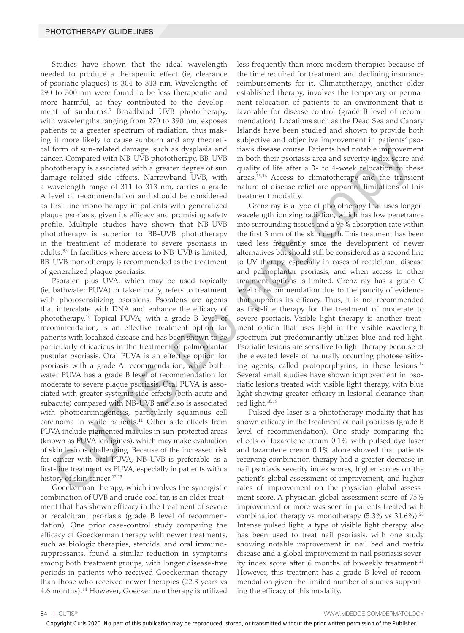Studies have shown that the ideal wavelength needed to produce a therapeutic effect (ie, clearance of psoriatic plaques) is 304 to 313 nm. Wavelengths of 290 to 300 nm were found to be less therapeutic and more harmful, as they contributed to the development of sunburns.7 Broadband UVB phototherapy, with wavelengths ranging from 270 to 390 nm, exposes patients to a greater spectrum of radiation, thus making it more likely to cause sunburn and any theoretical form of sun-related damage, such as dysplasia and cancer. Compared with NB-UVB phototherapy, BB-UVB phototherapy is associated with a greater degree of sun damage–related side effects. Narrowband UVB, with a wavelength range of 311 to 313 nm, carries a grade A level of recommendation and should be considered as first-line monotherapy in patients with generalized plaque psoriasis, given its efficacy and promising safety profile. Multiple studies have shown that NB-UVB phototherapy is superior to BB-UVB phototherapy in the treatment of moderate to severe psoriasis in adults.8,9 In facilities where access to NB-UVB is limited, BB-UVB monotherapy is recommended as the treatment of generalized plaque psoriasis.

Psoralen plus UVA, which may be used topically (ie, bathwater PUVA) or taken orally, refers to treatment with photosensitizing psoralens. Psoralens are agents that intercalate with DNA and enhance the efficacy of phototherapy.10 Topical PUVA, with a grade B level of recommendation, is an effective treatment option for patients with localized disease and has been shown to be particularly efficacious in the treatment of palmoplantar pustular psoriasis. Oral PUVA is an effective option for psoriasis with a grade A recommendation, while bathwater PUVA has a grade B level of recommendation for moderate to severe plaque psoriasis. Oral PUVA is associated with greater systemic side effects (both acute and subacute) compared with NB-UVB and also is associated with photocarcinogenesis, particularly squamous cell carcinoma in white patients.<sup>11</sup> Other side effects from PUVA include pigmented macules in sun-protected areas (known as PUVA lentigines), which may make evaluation of skin lesions challenging. Because of the increased risk for cancer with oral PUVA, NB-UVB is preferable as a first-line treatment vs PUVA, especially in patients with a history of skin cancer.<sup>12,13</sup>

Goeckerman therapy, which involves the synergistic combination of UVB and crude coal tar, is an older treatment that has shown efficacy in the treatment of severe or recalcitrant psoriasis (grade B level of recommendation). One prior case-control study comparing the efficacy of Goeckerman therapy with newer treatments, such as biologic therapies, steroids, and oral immunosuppressants, found a similar reduction in symptoms among both treatment groups, with longer disease-free periods in patients who received Goeckerman therapy than those who received newer therapies (22.3 years vs 4.6 months).14 However, Goeckerman therapy is utilized less frequently than more modern therapies because of the time required for treatment and declining insurance reimbursements for it. Climatotherapy, another older established therapy, involves the temporary or permanent relocation of patients to an environment that is favorable for disease control (grade B level of recommendation). Locations such as the Dead Sea and Canary Islands have been studied and shown to provide both subjective and objective improvement in patients' psoriasis disease course. Patients had notable improvement in both their psoriasis area and severity index score and quality of life after a 3- to 4-week relocation to these areas.15,16 Access to climatotherapy and the transient nature of disease relief are apparent limitations of this treatment modality.

Grenz ray is a type of phototherapy that uses longerwavelength ionizing radiation, which has low penetrance into surrounding tissues and a 95% absorption rate within the first 3 mm of the skin depth. This treatment has been used less frequently since the development of newer alternatives but should still be considered as a second line to UV therapy, especially in cases of recalcitrant disease and palmoplantar psoriasis, and when access to other treatment options is limited. Grenz ray has a grade C level of recommendation due to the paucity of evidence that supports its efficacy. Thus, it is not recommended as first-line therapy for the treatment of moderate to severe psoriasis. Visible light therapy is another treatment option that uses light in the visible wavelength spectrum but predominantly utilizes blue and red light. Psoriatic lesions are sensitive to light therapy because of the elevated levels of naturally occurring photosensitizing agents, called protoporphyrins, in these lesions.<sup>17</sup> Several small studies have shown improvement in psoriatic lesions treated with visible light therapy, with blue light showing greater efficacy in lesional clearance than red light.<sup>18,19</sup> Copyright Cutis 2020. No part of the store and the cutis 2020 and the cutis 2020 and the prior of the cutis 2020 and the prior of the cutis 2020 and the prior written is the prior written in the Publisher. The cutis 2020

Pulsed dye laser is a phototherapy modality that has shown efficacy in the treatment of nail psoriasis (grade B level of recommendation). One study comparing the effects of tazarotene cream 0.1% with pulsed dye laser and tazarotene cream 0.1% alone showed that patients receiving combination therapy had a greater decrease in nail psoriasis severity index scores, higher scores on the patient's global assessment of improvement, and higher rates of improvement on the physician global assessment score. A physician global assessment score of 75% improvement or more was seen in patients treated with combination therapy vs monotherapy  $(5.3\% \text{ vs } 31.6\%).^{20}$ Intense pulsed light, a type of visible light therapy, also has been used to treat nail psoriasis, with one study showing notable improvement in nail bed and matrix disease and a global improvement in nail psoriasis severity index score after 6 months of biweekly treatment.<sup>21</sup> However, this treatment has a grade B level of recommendation given the limited number of studies supporting the efficacy of this modality.

84 I CUTIS® WWW.MDEDGE.COM/DERMATOLOGY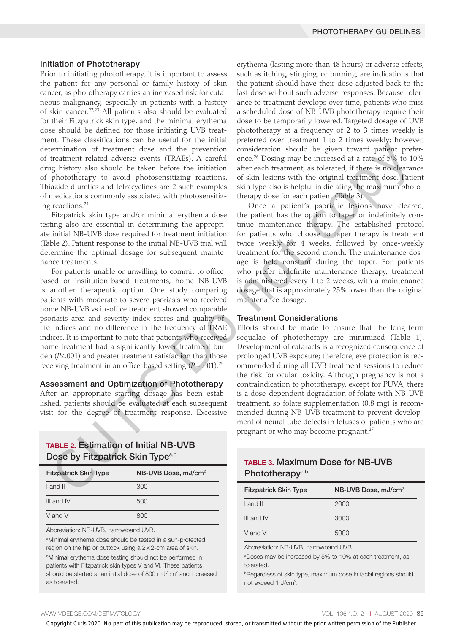#### Initiation of Phototherapy

Prior to initiating phototherapy, it is important to assess the patient for any personal or family history of skin cancer, as phototherapy carries an increased risk for cutaneous malignancy, especially in patients with a history of skin cancer.22,23 All patients also should be evaluated for their Fitzpatrick skin type, and the minimal erythema dose should be defined for those initiating UVB treatment. These classifications can be useful for the initial determination of treatment dose and the prevention of treatment-related adverse events (TRAEs). A careful drug history also should be taken before the initiation of phototherapy to avoid photosensitizing reactions. Thiazide diuretics and tetracyclines are 2 such examples of medications commonly associated with photosensitizing reactions.<sup>24</sup>

Fitzpatrick skin type and/or minimal erythema dose testing also are essential in determining the appropriate initial NB-UVB dose required for treatment initiation (Table 2). Patient response to the initial NB-UVB trial will determine the optimal dosage for subsequent maintenance treatments.

For patients unable or unwilling to commit to officebased or institution-based treatments, home NB-UVB is another therapeutic option. One study comparing patients with moderate to severe psoriasis who received home NB-UVB vs in-office treatment showed comparable psoriasis area and severity index scores and quality-oflife indices and no difference in the frequency of TRAE indices. It is important to note that patients who received home treatment had a significantly lower treatment burden (*P*≤.001) and greater treatment satisfaction than those receiving treatment in an office-based setting (*P*=.001).25

#### Assessment and Optimization of Phototherapy

After an appropriate starting dosage has been established, patients should be evaluated at each subsequent visit for the degree of treatment response. Excessive

# TABLE 2. Estimation of Initial NB-UVB Dose by Fitzpatrick Skin Type<sup>a,b</sup>

| <b>Fitzpatrick Skin Type</b> | NB-UVB Dose, mJ/cm <sup>2</sup> |
|------------------------------|---------------------------------|
| I and II                     | 300                             |
| III and IV                   | 500                             |
| V and VI                     | 800                             |

Abbreviation: NB-UVB, narrowband UVB.

a Minimal erythema dose should be tested in a sun-protected region on the hip or buttock using a 2×2-cm area of skin. **Minimal erythema dose testing should not be performed in** patients with Fitzpatrick skin types V and VI. These patients should be started at an initial dose of 800 mJ/cm<sup>2</sup> and increased as tolerated.

erythema (lasting more than 48 hours) or adverse effects, such as itching, stinging, or burning, are indications that the patient should have their dose adjusted back to the last dose without such adverse responses. Because tolerance to treatment develops over time, patients who miss a scheduled dose of NB-UVB phototherapy require their dose to be temporarily lowered. Targeted dosage of UVB phototherapy at a frequency of 2 to 3 times weekly is preferred over treatment 1 to 2 times weekly; however, consideration should be given toward patient preference.26 Dosing may be increased at a rate of 5% to 10% after each treatment, as tolerated, if there is no clearance of skin lesions with the original treatment dose. Patient skin type also is helpful in dictating the maximum phototherapy dose for each patient (Table 3).

Once a patient's psoriatic lesions have cleared, the patient has the option to taper or indefinitely continue maintenance therapy. The established protocol for patients who choose to taper therapy is treatment twice weekly for 4 weeks, followed by once-weekly treatment for the second month. The maintenance dosage is held constant during the taper. For patients who prefer indefinite maintenance therapy, treatment is administered every 1 to 2 weeks, with a maintenance dosage that is approximately 25% lower than the original maintenance dosage.

#### Treatment Considerations

Efforts should be made to ensure that the long-term sequalae of phototherapy are minimized (Table 1). Development of cataracts is a recognized consequence of prolonged UVB exposure; therefore, eye protection is recommended during all UVB treatment sessions to reduce the risk for ocular toxicity. Although pregnancy is not a contraindication to phototherapy, except for PUVA, there is a dose-dependent degradation of folate with NB-UVB treatment, so folate supplementation (0.8 mg) is recommended during NB-UVB treatment to prevent development of neural tube defects in fetuses of patients who are pregnant or who may become pregnant.<sup>27</sup> Extrained to the numeral three states and the properties in the cutis 2020 and the state of the publication model is given by a small three states of the publication model in the column of the cutis cuties of the publicat

# TABLE 3. Maximum Dose for NB-UVB Phototherapy<sup>a,b</sup>

| <b>Fitzpatrick Skin Type</b> | NB-UVB Dose, mJ/cm <sup>2</sup> |
|------------------------------|---------------------------------|
| I and II                     | 2000                            |
| III and IV                   | 3000                            |
| V and VI                     | 5000                            |

Abbreviation: NB-UVB, narrowband UVB.

a Doses may be increased by 5% to 10% at each treatment, as tolerated.

<sup>b</sup>Regardless of skin type, maximum dose in facial regions should not exceed 1 J/cm<sup>2</sup>.

#### WWW.MDEDGE.COM/DERMATOLOGY **VOL. 106 NO. 2 I AUGUST 2020 85**